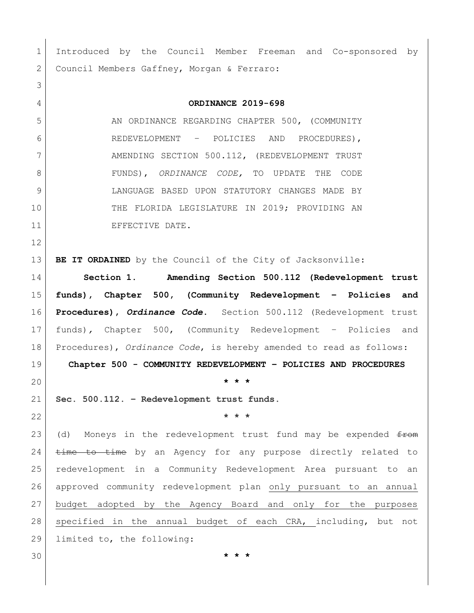Introduced by the Council Member Freeman and Co-sponsored by 2 Council Members Gaffney, Morgan & Ferraro: **ORDINANCE 2019-698** 5 AN ORDINANCE REGARDING CHAPTER 500, (COMMUNITY REDEVELOPMENT – POLICIES AND PROCEDURES), 7 AMENDING SECTION 500.112, (REDEVELOPMENT TRUST FUNDS), *ORDINANCE CODE,* TO UPDATE THE CODE LANGUAGE BASED UPON STATUTORY CHANGES MADE BY THE FLORIDA LEGISLATURE IN 2019; PROVIDING AN 11 EFFECTIVE DATE. **BE IT ORDAINED** by the Council of the City of Jacksonville: **Section 1. Amending Section 500.112 (Redevelopment trust funds), Chapter 500, (Community Redevelopment – Policies and Procedures),** *Ordinance Code***.** Section 500.112 (Redevelopment trust funds)*,* Chapter 500, (Community Redevelopment – Policies and Procedures), *Ordinance Code*, is hereby amended to read as follows: **Chapter 500 - COMMUNITY REDEVELOPMENT – POLICIES AND PROCEDURES \* \* \* Sec. 500.112. – Redevelopment trust funds. \* \* \*** 23 (d) Moneys in the redevelopment trust fund may be expended  $f_{\text{F} \text{O}}$   $\frac{1}{24}$   $\frac{1}{24}$   $\frac{1}{24}$   $\frac{1}{24}$   $\frac{1}{24}$   $\frac{1}{24}$   $\frac{1}{24}$   $\frac{1}{24}$   $\frac{1}{24}$   $\frac{1}{24}$   $\frac{1}{24}$   $\frac{1}{24}$   $\frac{1}{24}$   $\frac{1}{24}$   $\frac{1}{24}$   $\frac{1}{24}$   $\frac{1}{24}$   $\frac{1}{24}$   $\frac{1}{24}$   $\frac{1}{2$  redevelopment in a Community Redevelopment Area pursuant to an approved community redevelopment plan only pursuant to an annual budget adopted by the Agency Board and only for the purposes specified in the annual budget of each CRA, including, but not limited to, the following: **\* \* \***